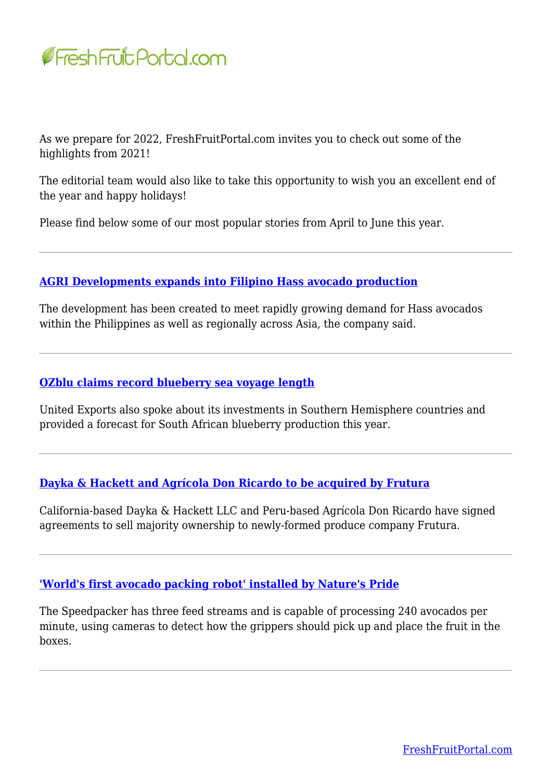

As we prepare for 2022, FreshFruitPortal.com invites you to check out some of the highlights from 2021!

The editorial team would also like to take this opportunity to wish you an excellent end of the year and happy holidays!

Please find below some of our most popular stories from April to June this year.

# **[AGRI Developments expands into Filipino Hass avocado production](https://www.freshfruitportal.com/news/2021/06/17/agri-developments-expands-into-philippines-hass-avocado-production?pk_campaign=*|CAMPAIGN_UID|*&pk_source=mailchimp&pk_medium=email&pk_content=411371&pk_cid=*|UNIQID|*&utm_campaign=*|CAMPAIGN_UID|*&utm_source=mailchimp&utm_medium=email&utm_content=411371&utm_term=*|UNIQID|*)**

The development has been created to meet rapidly growing demand for Hass avocados within the Philippines as well as regionally across Asia, the company said.

### **[OZblu claims record blueberry sea voyage length](https://www.freshfruitportal.com/news/2021/06/02/ozblu-claims-record-blueberry-sea-voyage-length?pk_campaign=*|CAMPAIGN_UID|*&pk_source=mailchimp&pk_medium=email&pk_content=410346&pk_cid=*|UNIQID|*&utm_campaign=*|CAMPAIGN_UID|*&utm_source=mailchimp&utm_medium=email&utm_content=410346&utm_term=*|UNIQID|*)**

United Exports also spoke about its investments in Southern Hemisphere countries and provided a forecast for South African blueberry production this year.

### **[Dayka & Hackett and Agrícola Don Ricardo to be acquired by Frutura](https://www.freshfruitportal.com/news/2021/06/23/dayka-hackett-and-agricola-don-ricardo-to-be-acquired-by-frutura?pk_campaign=*|CAMPAIGN_UID|*&pk_source=mailchimp&pk_medium=email&pk_content=411753&pk_cid=*|UNIQID|*&utm_campaign=*|CAMPAIGN_UID|*&utm_source=mailchimp&utm_medium=email&utm_content=411753&utm_term=*|UNIQID|*)**

California-based Dayka & Hackett LLC and Peru-based Agrícola Don Ricardo have signed agreements to sell majority ownership to newly-formed produce company Frutura.

### **['World's first avocado packing robot' installed by Nature's Pride](https://www.freshfruitportal.com/news/2021/05/11/worlds-first-avocado-packing-robot-installed-by-natures-pride?pk_campaign=*|CAMPAIGN_UID|*&pk_source=mailchimp&pk_medium=email&pk_content=408397&pk_cid=*|UNIQID|*&utm_campaign=*|CAMPAIGN_UID|*&utm_source=mailchimp&utm_medium=email&utm_content=408397&utm_term=*|UNIQID|*)**

The Speedpacker has three feed streams and is capable of processing 240 avocados per minute, using cameras to detect how the grippers should pick up and place the fruit in the boxes.